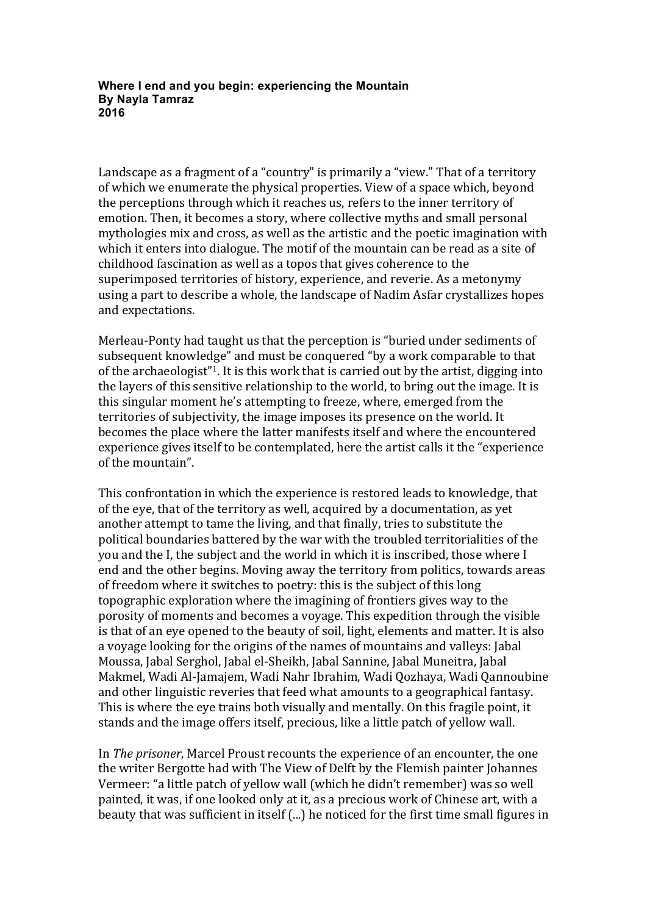**Where I end and you begin: experiencing the Mountain By Nayla Tamraz 2016**

Landscape as a fragment of a "country" is primarily a "view." That of a territory of which we enumerate the physical properties. View of a space which, beyond the perceptions through which it reaches us, refers to the inner territory of emotion. Then, it becomes a story, where collective myths and small personal mythologies mix and cross, as well as the artistic and the poetic imagination with which it enters into dialogue. The motif of the mountain can be read as a site of childhood fascination as well as a topos that gives coherence to the superimposed territories of history, experience, and reverie. As a metonymy using a part to describe a whole, the landscape of Nadim Asfar crystallizes hopes and expectations.

Merleau-Ponty had taught us that the perception is "buried under sediments of subsequent knowledge" and must be conquered "by a work comparable to that of the archaeologist"<sup>1</sup>. It is this work that is carried out by the artist, digging into the layers of this sensitive relationship to the world, to bring out the image. It is this singular moment he's attempting to freeze, where, emerged from the territories of subjectivity, the image imposes its presence on the world. It becomes the place where the latter manifests itself and where the encountered experience gives itself to be contemplated, here the artist calls it the "experience of the mountain".

This confrontation in which the experience is restored leads to knowledge, that of the eye, that of the territory as well, acquired by a documentation, as yet another attempt to tame the living, and that finally, tries to substitute the political boundaries battered by the war with the troubled territorialities of the you and the I, the subject and the world in which it is inscribed, those where I end and the other begins. Moving away the territory from politics, towards areas of freedom where it switches to poetry: this is the subject of this long topographic exploration where the imagining of frontiers gives way to the porosity of moments and becomes a voyage. This expedition through the visible is that of an eve opened to the beauty of soil, light, elements and matter. It is also a voyage looking for the origins of the names of mountains and valleys: Jabal Moussa, Jabal Serghol, Jabal el-Sheikh, Jabal Sannine, Jabal Muneitra, Jabal Makmel, Wadi Al-Jamajem, Wadi Nahr Ibrahim, Wadi Qozhaya, Wadi Qannoubine and other linguistic reveries that feed what amounts to a geographical fantasy. This is where the eye trains both visually and mentally. On this fragile point, it stands and the image offers itself, precious, like a little patch of yellow wall.

In *The prisoner*, Marcel Proust recounts the experience of an encounter, the one the writer Bergotte had with The View of Delft by the Flemish painter Johannes Vermeer: "a little patch of yellow wall (which he didn't remember) was so well painted, it was, if one looked only at it, as a precious work of Chinese art, with a beauty that was sufficient in itself (...) he noticed for the first time small figures in